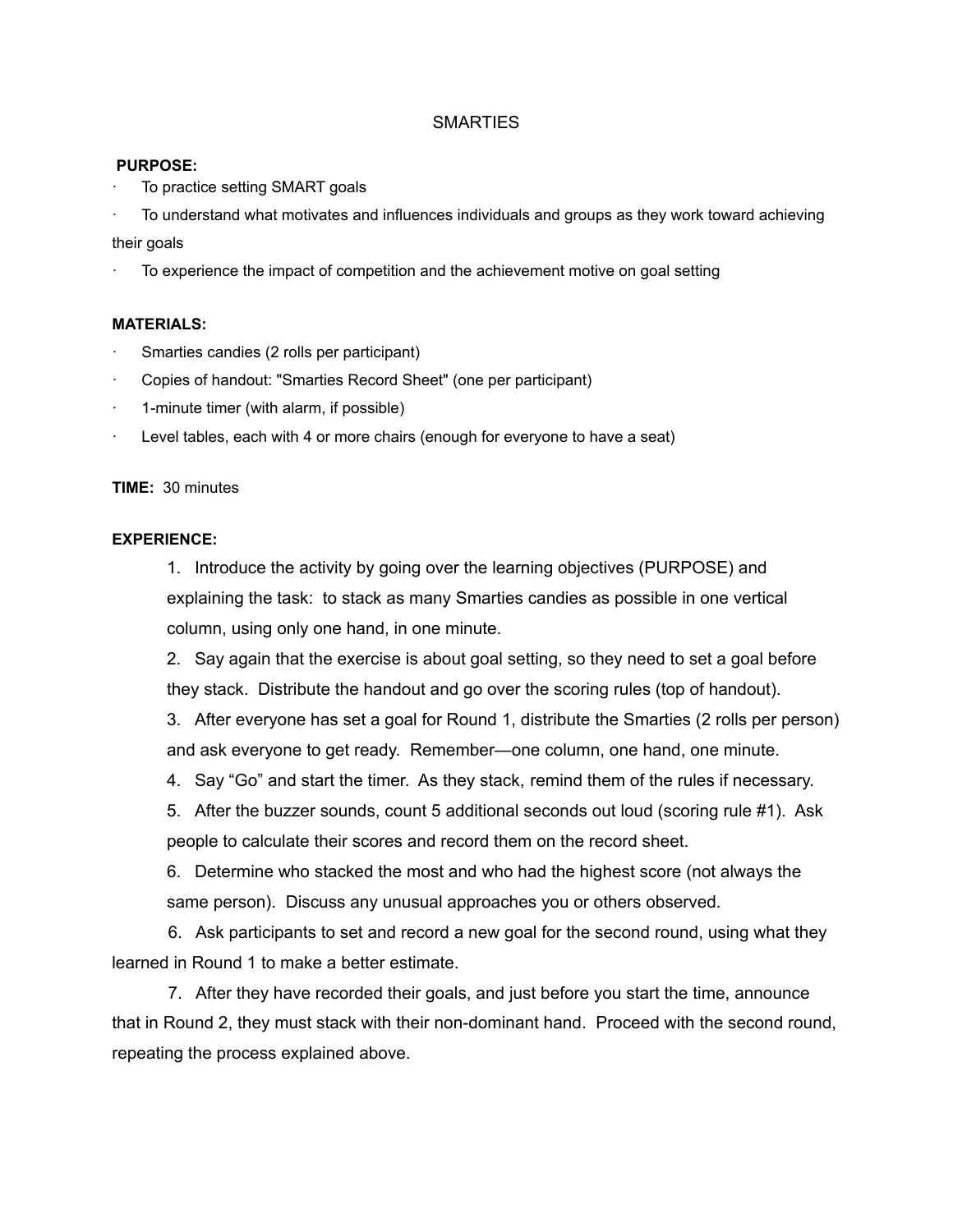#### **SMARTIES**

#### **PURPOSE:**

To practice setting SMART goals

· To understand what motivates and influences individuals and groups as they work toward achieving their goals

· To experience the impact of competition and the achievement motive on goal setting

#### **MATERIALS:**

- Smarties candies (2 rolls per participant)
- · Copies of handout: "Smarties Record Sheet" (one per participant)
- · 1-minute timer (with alarm, if possible)
- Level tables, each with 4 or more chairs (enough for everyone to have a seat)

#### **TIME:** 30 minutes

#### **EXPERIENCE:**

1. Introduce the activity by going over the learning objectives (PURPOSE) and explaining the task: to stack as many Smarties candies as possible in one vertical column, using only one hand, in one minute.

2. Say again that the exercise is about goal setting, so they need to set a goal before they stack. Distribute the handout and go over the scoring rules (top of handout).

3. After everyone has set a goal for Round 1, distribute the Smarties (2 rolls per person) and ask everyone to get ready. Remember—one column, one hand, one minute.

4. Say "Go" and start the timer. As they stack, remind them of the rules if necessary.

5. After the buzzer sounds, count 5 additional seconds out loud (scoring rule #1). Ask people to calculate their scores and record them on the record sheet.

6. Determine who stacked the most and who had the highest score (not always the same person). Discuss any unusual approaches you or others observed.

6. Ask participants to set and record a new goal for the second round, using what they learned in Round 1 to make a better estimate.

7. After they have recorded their goals, and just before you start the time, announce that in Round 2, they must stack with their non-dominant hand. Proceed with the second round, repeating the process explained above.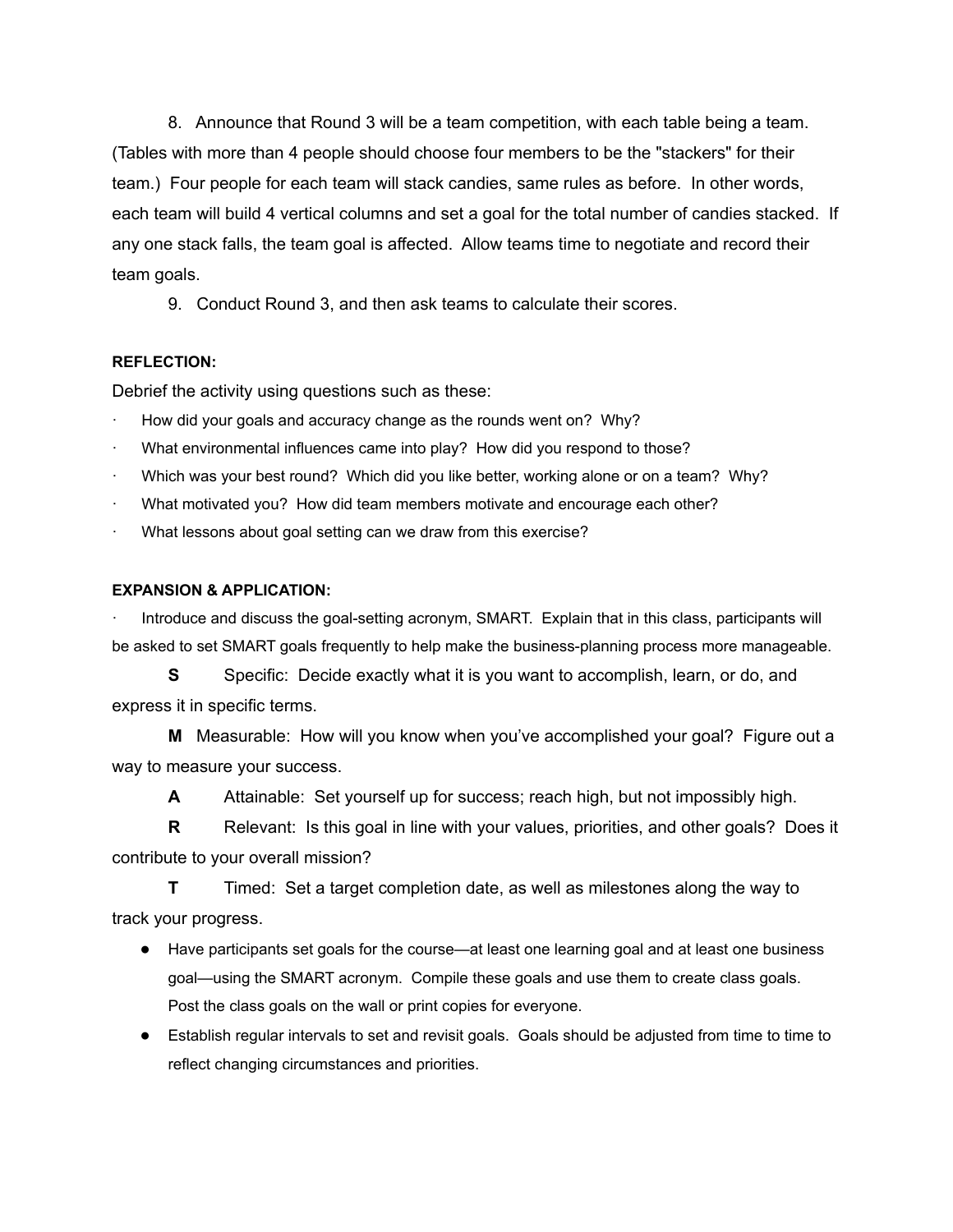8. Announce that Round 3 will be a team competition, with each table being a team. (Tables with more than 4 people should choose four members to be the "stackers" for their team.) Four people for each team will stack candies, same rules as before. In other words, each team will build 4 vertical columns and set a goal for the total number of candies stacked. If any one stack falls, the team goal is affected. Allow teams time to negotiate and record their team goals.

9. Conduct Round 3, and then ask teams to calculate their scores.

#### **REFLECTION:**

Debrief the activity using questions such as these:

- How did your goals and accuracy change as the rounds went on? Why?
- What environmental influences came into play? How did you respond to those?
- Which was your best round? Which did you like better, working alone or on a team? Why?
- What motivated you? How did team members motivate and encourage each other?
- What lessons about goal setting can we draw from this exercise?

#### **EXPANSION & APPLICATION:**

· Introduce and discuss the goal-setting acronym, SMART. Explain that in this class, participants will be asked to set SMART goals frequently to help make the business-planning process more manageable.

**S** Specific: Decide exactly what it is you want to accomplish, learn, or do, and express it in specific terms.

**M** Measurable: How will you know when you've accomplished your goal? Figure out a way to measure your success.

**A** Attainable: Set yourself up for success; reach high, but not impossibly high.

**R** Relevant: Is this goal in line with your values, priorities, and other goals? Does it contribute to your overall mission?

**T** Timed: Set a target completion date, as well as milestones along the way to track your progress.

- Have participants set goals for the course—at least one learning goal and at least one business goal—using the SMART acronym. Compile these goals and use them to create class goals. Post the class goals on the wall or print copies for everyone.
- Establish regular intervals to set and revisit goals. Goals should be adjusted from time to time to reflect changing circumstances and priorities.